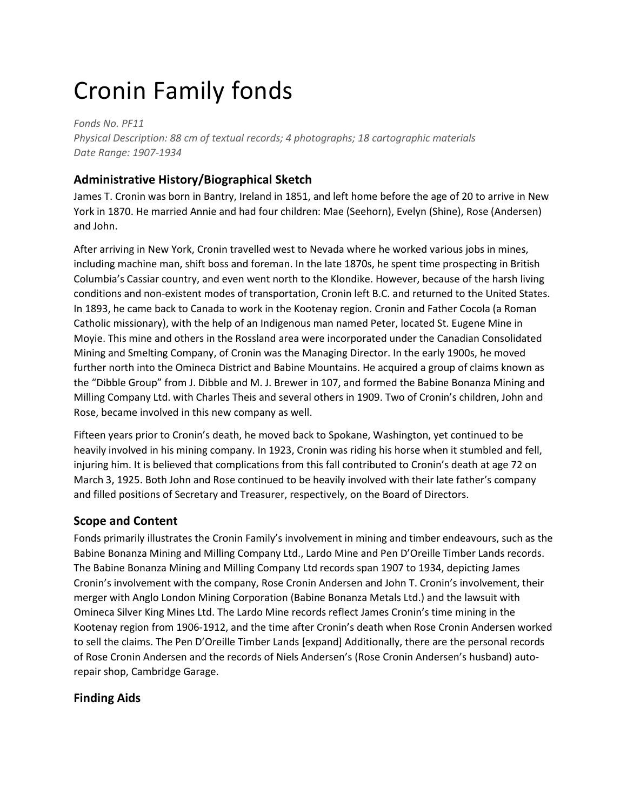# Cronin Family fonds

*Fonds No. PF11 Physical Description: 88 cm of textual records; 4 photographs; 18 cartographic materials Date Range: 1907-1934*

## **Administrative History/Biographical Sketch**

James T. Cronin was born in Bantry, Ireland in 1851, and left home before the age of 20 to arrive in New York in 1870. He married Annie and had four children: Mae (Seehorn), Evelyn (Shine), Rose (Andersen) and John.

After arriving in New York, Cronin travelled west to Nevada where he worked various jobs in mines, including machine man, shift boss and foreman. In the late 1870s, he spent time prospecting in British Columbia's Cassiar country, and even went north to the Klondike. However, because of the harsh living conditions and non-existent modes of transportation, Cronin left B.C. and returned to the United States. In 1893, he came back to Canada to work in the Kootenay region. Cronin and Father Cocola (a Roman Catholic missionary), with the help of an Indigenous man named Peter, located St. Eugene Mine in Moyie. This mine and others in the Rossland area were incorporated under the Canadian Consolidated Mining and Smelting Company, of Cronin was the Managing Director. In the early 1900s, he moved further north into the Omineca District and Babine Mountains. He acquired a group of claims known as the "Dibble Group" from J. Dibble and M. J. Brewer in 107, and formed the Babine Bonanza Mining and Milling Company Ltd. with Charles Theis and several others in 1909. Two of Cronin's children, John and Rose, became involved in this new company as well.

Fifteen years prior to Cronin's death, he moved back to Spokane, Washington, yet continued to be heavily involved in his mining company. In 1923, Cronin was riding his horse when it stumbled and fell, injuring him. It is believed that complications from this fall contributed to Cronin's death at age 72 on March 3, 1925. Both John and Rose continued to be heavily involved with their late father's company and filled positions of Secretary and Treasurer, respectively, on the Board of Directors.

## **Scope and Content**

Fonds primarily illustrates the Cronin Family's involvement in mining and timber endeavours, such as the Babine Bonanza Mining and Milling Company Ltd., Lardo Mine and Pen D'Oreille Timber Lands records. The Babine Bonanza Mining and Milling Company Ltd records span 1907 to 1934, depicting James Cronin's involvement with the company, Rose Cronin Andersen and John T. Cronin's involvement, their merger with Anglo London Mining Corporation (Babine Bonanza Metals Ltd.) and the lawsuit with Omineca Silver King Mines Ltd. The Lardo Mine records reflect James Cronin's time mining in the Kootenay region from 1906-1912, and the time after Cronin's death when Rose Cronin Andersen worked to sell the claims. The Pen D'Oreille Timber Lands [expand] Additionally, there are the personal records of Rose Cronin Andersen and the records of Niels Andersen's (Rose Cronin Andersen's husband) autorepair shop, Cambridge Garage.

## **Finding Aids**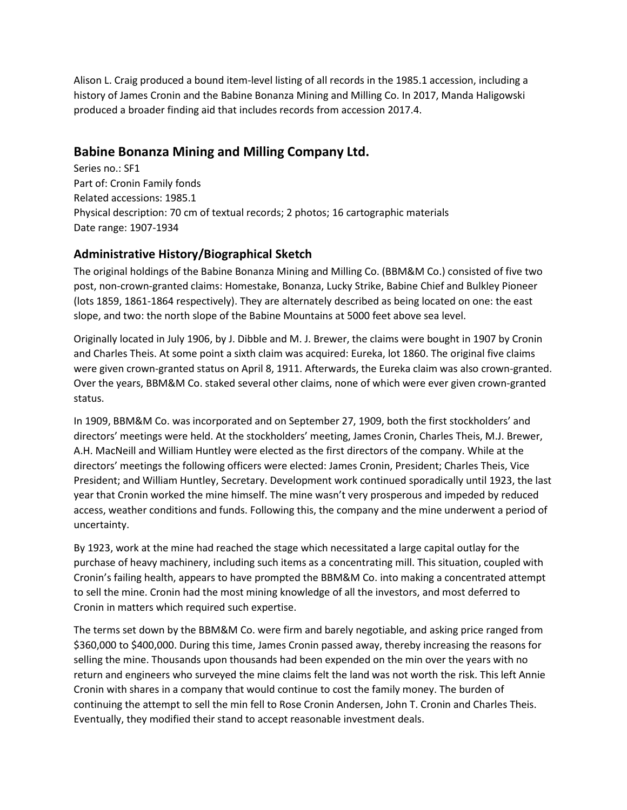Alison L. Craig produced a bound item-level listing of all records in the 1985.1 accession, including a history of James Cronin and the Babine Bonanza Mining and Milling Co. In 2017, Manda Haligowski produced a broader finding aid that includes records from accession 2017.4.

## **Babine Bonanza Mining and Milling Company Ltd.**

Series no.: SF1 Part of: Cronin Family fonds Related accessions: 1985.1 Physical description: 70 cm of textual records; 2 photos; 16 cartographic materials Date range: 1907-1934

#### **Administrative History/Biographical Sketch**

The original holdings of the Babine Bonanza Mining and Milling Co. (BBM&M Co.) consisted of five two post, non-crown-granted claims: Homestake, Bonanza, Lucky Strike, Babine Chief and Bulkley Pioneer (lots 1859, 1861-1864 respectively). They are alternately described as being located on one: the east slope, and two: the north slope of the Babine Mountains at 5000 feet above sea level.

Originally located in July 1906, by J. Dibble and M. J. Brewer, the claims were bought in 1907 by Cronin and Charles Theis. At some point a sixth claim was acquired: Eureka, lot 1860. The original five claims were given crown-granted status on April 8, 1911. Afterwards, the Eureka claim was also crown-granted. Over the years, BBM&M Co. staked several other claims, none of which were ever given crown-granted status.

In 1909, BBM&M Co. was incorporated and on September 27, 1909, both the first stockholders' and directors' meetings were held. At the stockholders' meeting, James Cronin, Charles Theis, M.J. Brewer, A.H. MacNeill and William Huntley were elected as the first directors of the company. While at the directors' meetings the following officers were elected: James Cronin, President; Charles Theis, Vice President; and William Huntley, Secretary. Development work continued sporadically until 1923, the last year that Cronin worked the mine himself. The mine wasn't very prosperous and impeded by reduced access, weather conditions and funds. Following this, the company and the mine underwent a period of uncertainty.

By 1923, work at the mine had reached the stage which necessitated a large capital outlay for the purchase of heavy machinery, including such items as a concentrating mill. This situation, coupled with Cronin's failing health, appears to have prompted the BBM&M Co. into making a concentrated attempt to sell the mine. Cronin had the most mining knowledge of all the investors, and most deferred to Cronin in matters which required such expertise.

The terms set down by the BBM&M Co. were firm and barely negotiable, and asking price ranged from \$360,000 to \$400,000. During this time, James Cronin passed away, thereby increasing the reasons for selling the mine. Thousands upon thousands had been expended on the min over the years with no return and engineers who surveyed the mine claims felt the land was not worth the risk. This left Annie Cronin with shares in a company that would continue to cost the family money. The burden of continuing the attempt to sell the min fell to Rose Cronin Andersen, John T. Cronin and Charles Theis. Eventually, they modified their stand to accept reasonable investment deals.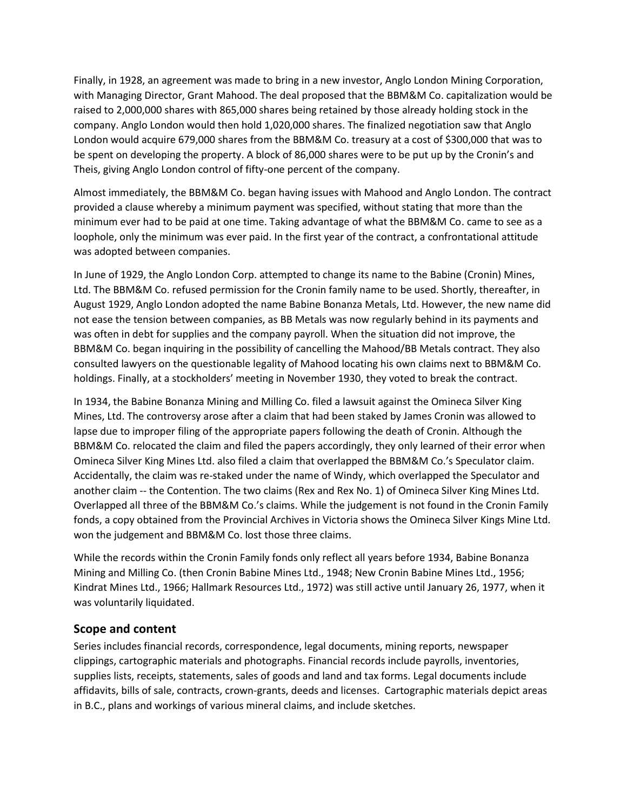Finally, in 1928, an agreement was made to bring in a new investor, Anglo London Mining Corporation, with Managing Director, Grant Mahood. The deal proposed that the BBM&M Co. capitalization would be raised to 2,000,000 shares with 865,000 shares being retained by those already holding stock in the company. Anglo London would then hold 1,020,000 shares. The finalized negotiation saw that Anglo London would acquire 679,000 shares from the BBM&M Co. treasury at a cost of \$300,000 that was to be spent on developing the property. A block of 86,000 shares were to be put up by the Cronin's and Theis, giving Anglo London control of fifty-one percent of the company.

Almost immediately, the BBM&M Co. began having issues with Mahood and Anglo London. The contract provided a clause whereby a minimum payment was specified, without stating that more than the minimum ever had to be paid at one time. Taking advantage of what the BBM&M Co. came to see as a loophole, only the minimum was ever paid. In the first year of the contract, a confrontational attitude was adopted between companies.

In June of 1929, the Anglo London Corp. attempted to change its name to the Babine (Cronin) Mines, Ltd. The BBM&M Co. refused permission for the Cronin family name to be used. Shortly, thereafter, in August 1929, Anglo London adopted the name Babine Bonanza Metals, Ltd. However, the new name did not ease the tension between companies, as BB Metals was now regularly behind in its payments and was often in debt for supplies and the company payroll. When the situation did not improve, the BBM&M Co. began inquiring in the possibility of cancelling the Mahood/BB Metals contract. They also consulted lawyers on the questionable legality of Mahood locating his own claims next to BBM&M Co. holdings. Finally, at a stockholders' meeting in November 1930, they voted to break the contract.

In 1934, the Babine Bonanza Mining and Milling Co. filed a lawsuit against the Omineca Silver King Mines, Ltd. The controversy arose after a claim that had been staked by James Cronin was allowed to lapse due to improper filing of the appropriate papers following the death of Cronin. Although the BBM&M Co. relocated the claim and filed the papers accordingly, they only learned of their error when Omineca Silver King Mines Ltd. also filed a claim that overlapped the BBM&M Co.'s Speculator claim. Accidentally, the claim was re-staked under the name of Windy, which overlapped the Speculator and another claim -- the Contention. The two claims (Rex and Rex No. 1) of Omineca Silver King Mines Ltd. Overlapped all three of the BBM&M Co.'s claims. While the judgement is not found in the Cronin Family fonds, a copy obtained from the Provincial Archives in Victoria shows the Omineca Silver Kings Mine Ltd. won the judgement and BBM&M Co. lost those three claims.

While the records within the Cronin Family fonds only reflect all years before 1934, Babine Bonanza Mining and Milling Co. (then Cronin Babine Mines Ltd., 1948; New Cronin Babine Mines Ltd., 1956; Kindrat Mines Ltd., 1966; Hallmark Resources Ltd., 1972) was still active until January 26, 1977, when it was voluntarily liquidated.

#### **Scope and content**

Series includes financial records, correspondence, legal documents, mining reports, newspaper clippings, cartographic materials and photographs. Financial records include payrolls, inventories, supplies lists, receipts, statements, sales of goods and land and tax forms. Legal documents include affidavits, bills of sale, contracts, crown-grants, deeds and licenses. Cartographic materials depict areas in B.C., plans and workings of various mineral claims, and include sketches.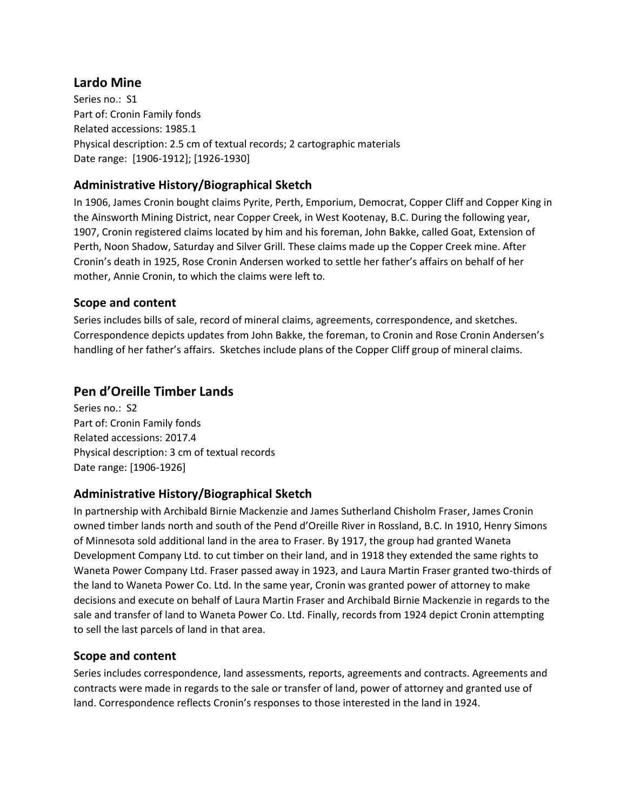### **Lardo Mine**

Series no.: S1 Part of: Cronin Family fonds Related accessions: 1985.1 Physical description: 2.5 cm of textual records; 2 cartographic materials Date range: [1906-1912]; [1926-1930]

#### **Administrative History/Biographical Sketch**

In 1906, James Cronin bought claims Pyrite, Perth, Emporium, Democrat, Copper Cliff and Copper King in the Ainsworth Mining District, near Copper Creek, in West Kootenay, B.C. During the following year, 1907, Cronin registered claims located by him and his foreman, John Bakke, called Goat, Extension of Perth, Noon Shadow, Saturday and Silver Grill. These claims made up the Copper Creek mine. After Cronin's death in 1925, Rose Cronin Andersen worked to settle her father's affairs on behalf of her mother, Annie Cronin, to which the claims were left to.

#### **Scope and content**

Series includes bills of sale, record of mineral claims, agreements, correspondence, and sketches. Correspondence depicts updates from John Bakke, the foreman, to Cronin and Rose Cronin Andersen's handling of her father's affairs. Sketches include plans of the Copper Cliff group of mineral claims.

## **Pen d'Oreille Timber Lands**

Series no.: S2 Part of: Cronin Family fonds Related accessions: 2017.4 Physical description: 3 cm of textual records Date range: [1906-1926]

#### **Administrative History/Biographical Sketch**

In partnership with Archibald Birnie Mackenzie and James Sutherland Chisholm Fraser, James Cronin owned timber lands north and south of the Pend d'Oreille River in Rossland, B.C. In 1910, Henry Simons of Minnesota sold additional land in the area to Fraser. By 1917, the group had granted Waneta Development Company Ltd. to cut timber on their land, and in 1918 they extended the same rights to Waneta Power Company Ltd. Fraser passed away in 1923, and Laura Martin Fraser granted two-thirds of the land to Waneta Power Co. Ltd. In the same year, Cronin was granted power of attorney to make decisions and execute on behalf of Laura Martin Fraser and Archibald Birnie Mackenzie in regards to the sale and transfer of land to Waneta Power Co. Ltd. Finally, records from 1924 depict Cronin attempting to sell the last parcels of land in that area.

#### **Scope and content**

Series includes correspondence, land assessments, reports, agreements and contracts. Agreements and contracts were made in regards to the sale or transfer of land, power of attorney and granted use of land. Correspondence reflects Cronin's responses to those interested in the land in 1924.